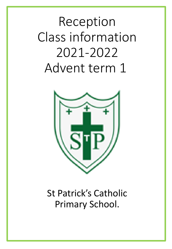# Reception Class information 2021-2022 Advent term 1



# St Patrick's Catholic Primary School.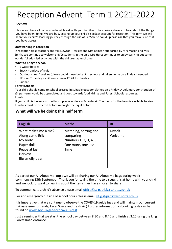## Reception Advent Term 1 2021-2022

#### **SeeSaw**

I hope you have all had a wonderful break with your families. It has been so lovely to hear about the things you have been doing. We are busy setting up your child's SeeSaw account for reception. This term we will share your child's learning journey through the use of SeeSaw so could I please ask that you make sure that you have access.

#### **Staff working in reception**

In reception class teachers are Mrs Newton-Hewlett and Mrs Bointon supported by Mrs Mason and Mrs Smith. We continue to welcome NVQ students in the unit. Mrs Hurst continues to enjoy carrying out some wonderful adult led activities with the children at lunchtime.

#### **What to bring to school**

- 2 water bottles
- Snack a piece of fruit
- Outdoor shoes/ Wellies (please could these be kept in school and taken home on a Friday if needed.
- PE is on Thursday children to wear PE kit for the day
- Sunhat

#### **Forest Schools**

Your child should come to school dressed in suitable outdoor clothes on a Friday. A voluntary contribution of £4 per term would be appreciated and goes towards food, drinks and Forest Schools resources. **Lunch**

If your child is having a school lunch please order via Parentmail. The menu for the term is available to view. Lunches must be ordered before midnight the night before.

### **What will we be doing this half term**

| English                                                                                                         | <b>Maths</b>                                                                              | <b>RE</b>         |
|-----------------------------------------------------------------------------------------------------------------|-------------------------------------------------------------------------------------------|-------------------|
| What makes me a me?<br>Along came Erik<br>My body<br>Paper dolls<br>Peace at last<br>Harvest<br>Big smelly bear | Matching, sorting and<br>comparing<br>Numbers 1, 2, 3, 4, 5<br>One more, one less<br>Time | Myself<br>Welcome |

As part of our All About Me topic we will be sharing our All About Me bags during week commencing 13th September. Thank you for taking the time to discuss this at home with your child and we look forward to hearing about the items they have chosen to share.

To communicate a child's absence please email [office@st-patricksrc.notts.sch.uk](mailto:office@st-patricksrc.notts.sch.uk)

For and emergency outside of school hours please email [slt@st-patricksrc.notts.sch.uk](mailto:slt@st-patricksrc.notts.sch.uk)

It is imperative that we continue to observe the COVID-19 guidelines and will maintain our current risk assessment (Hands, Face, Space and fresh air.) Further information on booking tests can be found on [www.gov.uk/get-coronavirus-test](http://www.gov.uk/get-coronavirus-test).

Just a reminder that we start the school day between 8.30 and 8.40 and finish at 3.20 using the Ling Forest Road entrance.